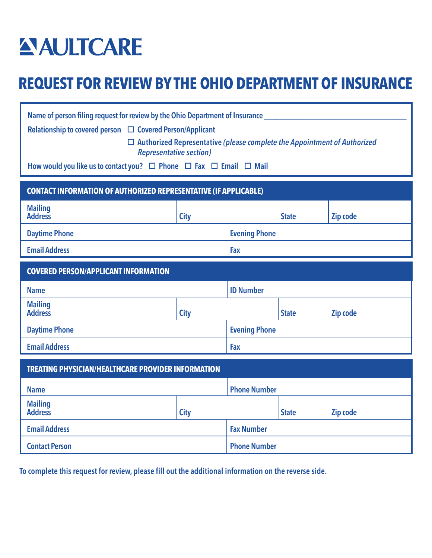# **AULTCARE**

## **REQUEST FOR REVIEW BY THE OHIO DEPARTMENT OF INSURANCE**

| Name of person filing request for review by the Ohio Department of Insurance<br>Relationship to covered person □ Covered Person/Applicant<br>$\Box$ Authorized Representative (please complete the Appointment of Authorized<br><b>Representative section)</b><br>How would you like us to contact you? $\Box$ Phone $\Box$ Fax $\Box$ Email $\Box$ Mail<br><b>CONTACT INFORMATION OF AUTHORIZED REPRESENTATIVE (IF APPLICABLE)</b> |             |                      |                      |          |  |
|-------------------------------------------------------------------------------------------------------------------------------------------------------------------------------------------------------------------------------------------------------------------------------------------------------------------------------------------------------------------------------------------------------------------------------------|-------------|----------------------|----------------------|----------|--|
| <b>Mailing</b><br><b>Address</b>                                                                                                                                                                                                                                                                                                                                                                                                    | <b>City</b> |                      | <b>State</b>         | Zip code |  |
| <b>Daytime Phone</b>                                                                                                                                                                                                                                                                                                                                                                                                                |             |                      | <b>Evening Phone</b> |          |  |
| <b>Email Address</b>                                                                                                                                                                                                                                                                                                                                                                                                                |             | Fax                  |                      |          |  |
| <b>COVERED PERSON/APPLICANT INFORMATION</b>                                                                                                                                                                                                                                                                                                                                                                                         |             |                      |                      |          |  |
| <b>Name</b>                                                                                                                                                                                                                                                                                                                                                                                                                         |             | <b>ID Number</b>     |                      |          |  |
| <b>Mailing</b><br><b>Address</b>                                                                                                                                                                                                                                                                                                                                                                                                    | <b>City</b> |                      | <b>State</b>         | Zip code |  |
| <b>Daytime Phone</b>                                                                                                                                                                                                                                                                                                                                                                                                                |             | <b>Evening Phone</b> |                      |          |  |
| <b>Email Address</b>                                                                                                                                                                                                                                                                                                                                                                                                                |             | Fax                  |                      |          |  |
| <b>TREATING PHYSICIAN/HEALTHCARE PROVIDER INFORMATION</b>                                                                                                                                                                                                                                                                                                                                                                           |             |                      |                      |          |  |
| <b>Name</b>                                                                                                                                                                                                                                                                                                                                                                                                                         |             | <b>Phone Number</b>  |                      |          |  |
| <b>Mailing</b><br><b>Address</b>                                                                                                                                                                                                                                                                                                                                                                                                    | <b>City</b> |                      | <b>State</b>         | Zip code |  |
| <b>Email Address</b>                                                                                                                                                                                                                                                                                                                                                                                                                |             | <b>Fax Number</b>    |                      |          |  |
| <b>Contact Person</b>                                                                                                                                                                                                                                                                                                                                                                                                               |             | <b>Phone Number</b>  |                      |          |  |

To complete this request for review, please fill out the additional information on the reverse side.